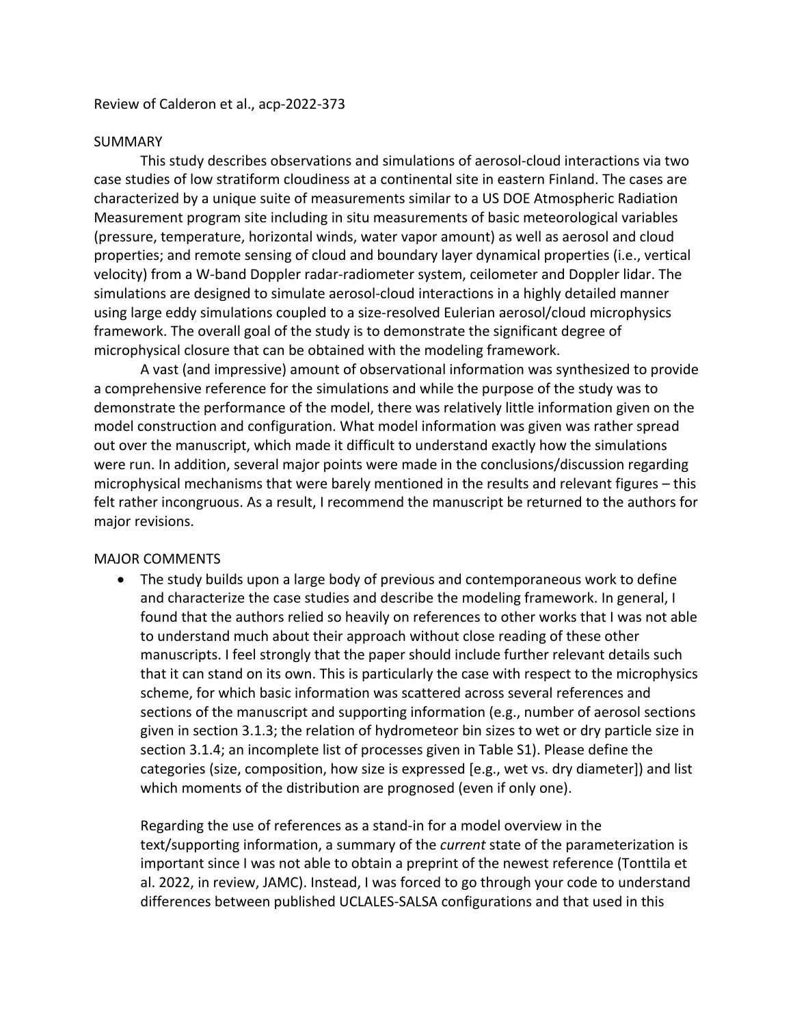Review of Calderon et al., acp-2022-373

#### SUMMARY

This study describes observations and simulations of aerosol-cloud interactions via two case studies of low stratiform cloudiness at a continental site in eastern Finland. The cases are characterized by a unique suite of measurements similar to a US DOE Atmospheric Radiation Measurement program site including in situ measurements of basic meteorological variables (pressure, temperature, horizontal winds, water vapor amount) as well as aerosol and cloud properties; and remote sensing of cloud and boundary layer dynamical properties (i.e., vertical velocity) from a W-band Doppler radar-radiometer system, ceilometer and Doppler lidar. The simulations are designed to simulate aerosol-cloud interactions in a highly detailed manner using large eddy simulations coupled to a size-resolved Eulerian aerosol/cloud microphysics framework. The overall goal of the study is to demonstrate the significant degree of microphysical closure that can be obtained with the modeling framework.

A vast (and impressive) amount of observational information was synthesized to provide a comprehensive reference for the simulations and while the purpose of the study was to demonstrate the performance of the model, there was relatively little information given on the model construction and configuration. What model information was given was rather spread out over the manuscript, which made it difficult to understand exactly how the simulations were run. In addition, several major points were made in the conclusions/discussion regarding microphysical mechanisms that were barely mentioned in the results and relevant figures – this felt rather incongruous. As a result, I recommend the manuscript be returned to the authors for major revisions.

### MAJOR COMMENTS

• The study builds upon a large body of previous and contemporaneous work to define and characterize the case studies and describe the modeling framework. In general, I found that the authors relied so heavily on references to other works that I was not able to understand much about their approach without close reading of these other manuscripts. I feel strongly that the paper should include further relevant details such that it can stand on its own. This is particularly the case with respect to the microphysics scheme, for which basic information was scattered across several references and sections of the manuscript and supporting information (e.g., number of aerosol sections given in section 3.1.3; the relation of hydrometeor bin sizes to wet or dry particle size in section 3.1.4; an incomplete list of processes given in Table S1). Please define the categories (size, composition, how size is expressed [e.g., wet vs. dry diameter]) and list which moments of the distribution are prognosed (even if only one).

Regarding the use of references as a stand-in for a model overview in the text/supporting information, a summary of the *current* state of the parameterization is important since I was not able to obtain a preprint of the newest reference (Tonttila et al. 2022, in review, JAMC). Instead, I was forced to go through your code to understand differences between published UCLALES-SALSA configurations and that used in this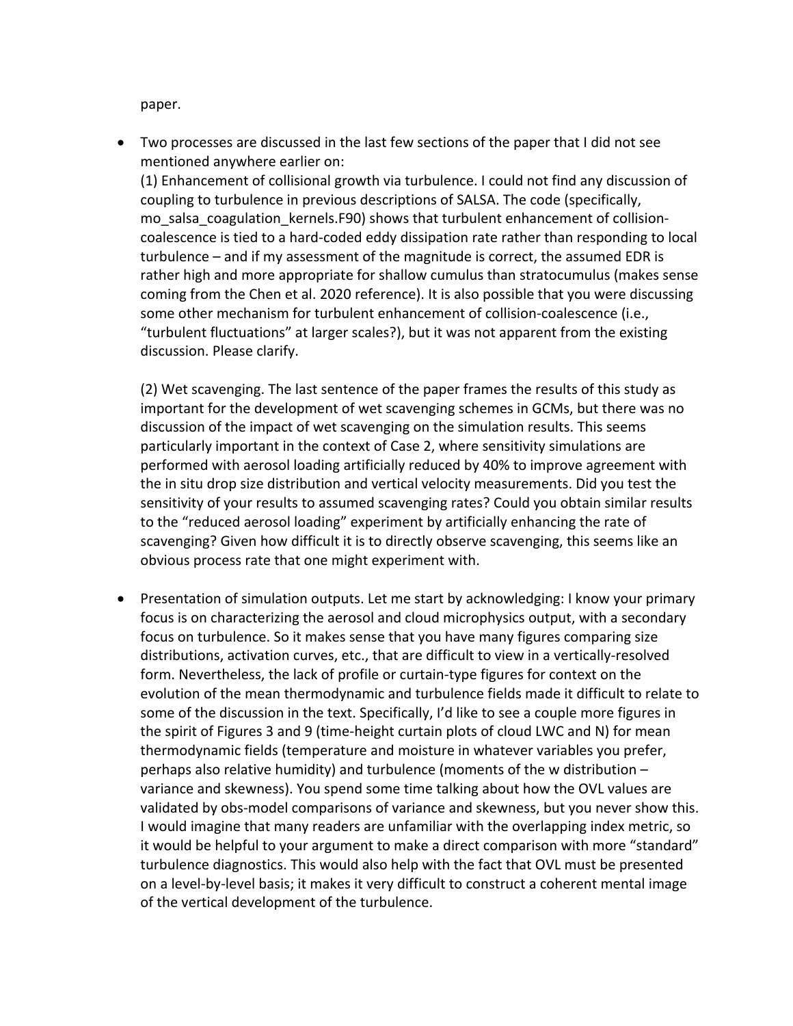paper.

• Two processes are discussed in the last few sections of the paper that I did not see mentioned anywhere earlier on:

(1) Enhancement of collisional growth via turbulence. I could not find any discussion of coupling to turbulence in previous descriptions of SALSA. The code (specifically, mo salsa coagulation kernels.F90) shows that turbulent enhancement of collisioncoalescence is tied to a hard-coded eddy dissipation rate rather than responding to local turbulence – and if my assessment of the magnitude is correct, the assumed EDR is rather high and more appropriate for shallow cumulus than stratocumulus (makes sense coming from the Chen et al. 2020 reference). It is also possible that you were discussing some other mechanism for turbulent enhancement of collision-coalescence (i.e., "turbulent fluctuations" at larger scales?), but it was not apparent from the existing discussion. Please clarify.

(2) Wet scavenging. The last sentence of the paper frames the results of this study as important for the development of wet scavenging schemes in GCMs, but there was no discussion of the impact of wet scavenging on the simulation results. This seems particularly important in the context of Case 2, where sensitivity simulations are performed with aerosol loading artificially reduced by 40% to improve agreement with the in situ drop size distribution and vertical velocity measurements. Did you test the sensitivity of your results to assumed scavenging rates? Could you obtain similar results to the "reduced aerosol loading" experiment by artificially enhancing the rate of scavenging? Given how difficult it is to directly observe scavenging, this seems like an obvious process rate that one might experiment with.

• Presentation of simulation outputs. Let me start by acknowledging: I know your primary focus is on characterizing the aerosol and cloud microphysics output, with a secondary focus on turbulence. So it makes sense that you have many figures comparing size distributions, activation curves, etc., that are difficult to view in a vertically-resolved form. Nevertheless, the lack of profile or curtain-type figures for context on the evolution of the mean thermodynamic and turbulence fields made it difficult to relate to some of the discussion in the text. Specifically, I'd like to see a couple more figures in the spirit of Figures 3 and 9 (time-height curtain plots of cloud LWC and N) for mean thermodynamic fields (temperature and moisture in whatever variables you prefer, perhaps also relative humidity) and turbulence (moments of the w distribution – variance and skewness). You spend some time talking about how the OVL values are validated by obs-model comparisons of variance and skewness, but you never show this. I would imagine that many readers are unfamiliar with the overlapping index metric, so it would be helpful to your argument to make a direct comparison with more "standard" turbulence diagnostics. This would also help with the fact that OVL must be presented on a level-by-level basis; it makes it very difficult to construct a coherent mental image of the vertical development of the turbulence.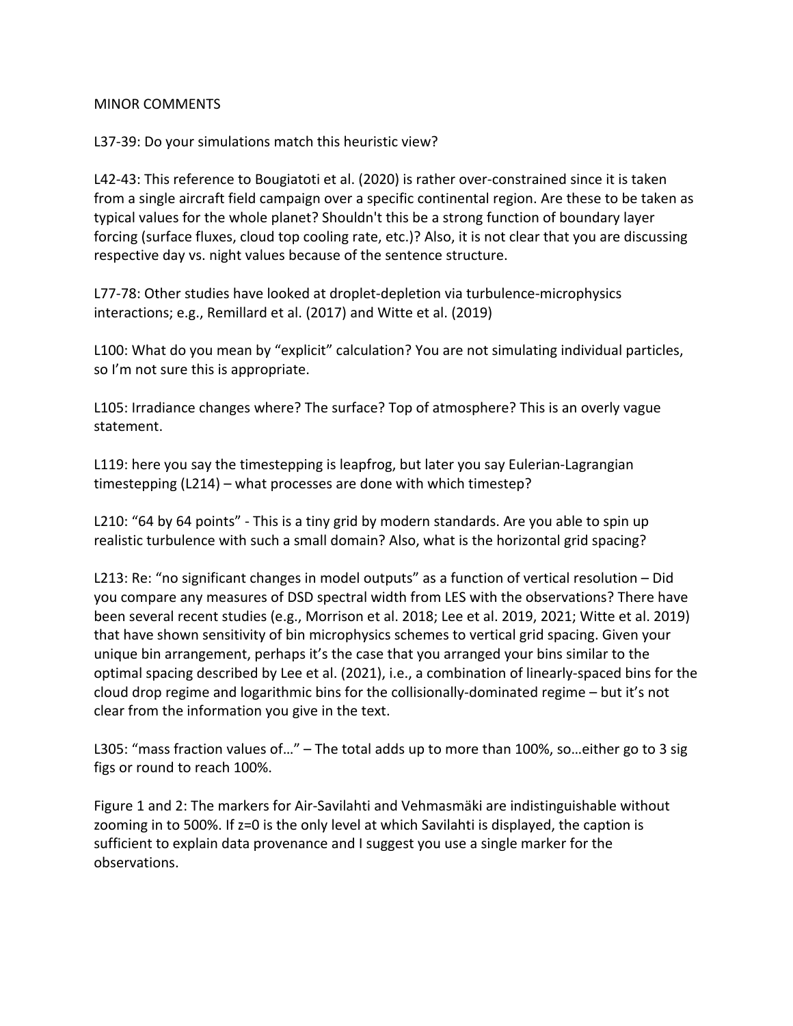### MINOR COMMENTS

# L37-39: Do your simulations match this heuristic view?

L42-43: This reference to Bougiatoti et al. (2020) is rather over-constrained since it is taken from a single aircraft field campaign over a specific continental region. Are these to be taken as typical values for the whole planet? Shouldn't this be a strong function of boundary layer forcing (surface fluxes, cloud top cooling rate, etc.)? Also, it is not clear that you are discussing respective day vs. night values because of the sentence structure.

L77-78: Other studies have looked at droplet-depletion via turbulence-microphysics interactions; e.g., Remillard et al. (2017) and Witte et al. (2019)

L100: What do you mean by "explicit" calculation? You are not simulating individual particles, so I'm not sure this is appropriate.

L105: Irradiance changes where? The surface? Top of atmosphere? This is an overly vague statement.

L119: here you say the timestepping is leapfrog, but later you say Eulerian-Lagrangian timestepping (L214) – what processes are done with which timestep?

L210: "64 by 64 points" - This is a tiny grid by modern standards. Are you able to spin up realistic turbulence with such a small domain? Also, what is the horizontal grid spacing?

L213: Re: "no significant changes in model outputs" as a function of vertical resolution – Did you compare any measures of DSD spectral width from LES with the observations? There have been several recent studies (e.g., Morrison et al. 2018; Lee et al. 2019, 2021; Witte et al. 2019) that have shown sensitivity of bin microphysics schemes to vertical grid spacing. Given your unique bin arrangement, perhaps it's the case that you arranged your bins similar to the optimal spacing described by Lee et al. (2021), i.e., a combination of linearly-spaced bins for the cloud drop regime and logarithmic bins for the collisionally-dominated regime – but it's not clear from the information you give in the text.

L305: "mass fraction values of…" – The total adds up to more than 100%, so…either go to 3 sig figs or round to reach 100%.

Figure 1 and 2: The markers for Air-Savilahti and Vehmasmäki are indistinguishable without zooming in to 500%. If z=0 is the only level at which Savilahti is displayed, the caption is sufficient to explain data provenance and I suggest you use a single marker for the observations.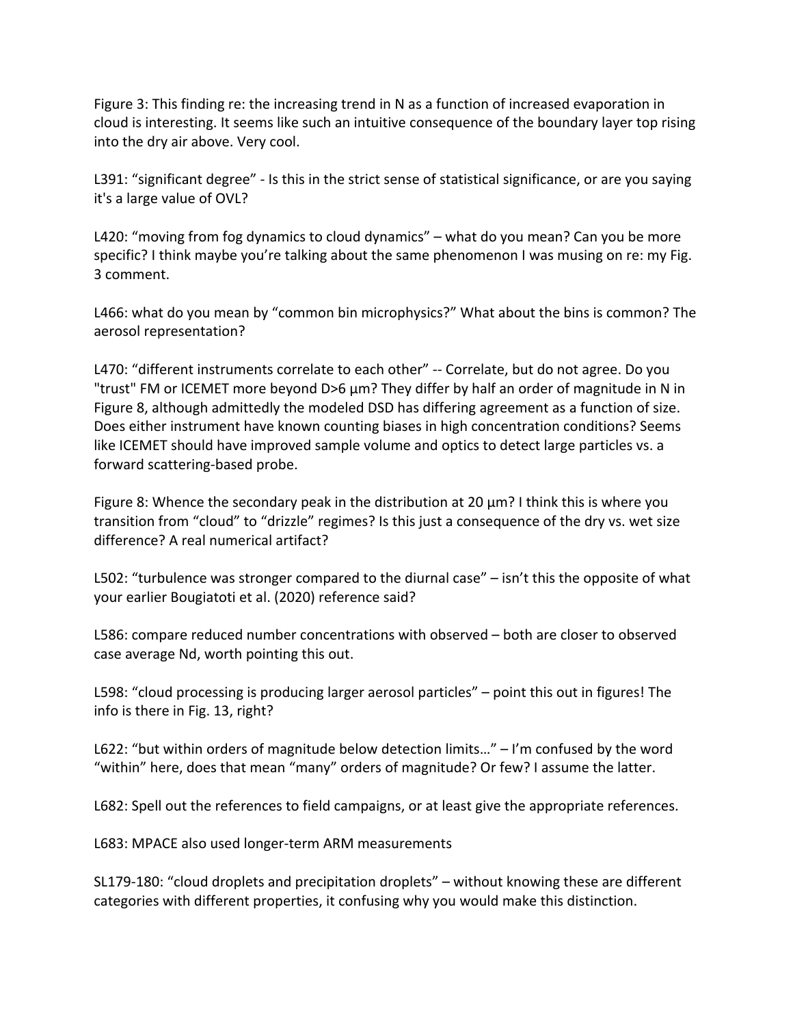Figure 3: This finding re: the increasing trend in N as a function of increased evaporation in cloud is interesting. It seems like such an intuitive consequence of the boundary layer top rising into the dry air above. Very cool.

L391: "significant degree" - Is this in the strict sense of statistical significance, or are you saying it's a large value of OVL?

L420: "moving from fog dynamics to cloud dynamics" – what do you mean? Can you be more specific? I think maybe you're talking about the same phenomenon I was musing on re: my Fig. 3 comment.

L466: what do you mean by "common bin microphysics?" What about the bins is common? The aerosol representation?

L470: "different instruments correlate to each other" -- Correlate, but do not agree. Do you "trust" FM or ICEMET more beyond D>6 µm? They differ by half an order of magnitude in N in Figure 8, although admittedly the modeled DSD has differing agreement as a function of size. Does either instrument have known counting biases in high concentration conditions? Seems like ICEMET should have improved sample volume and optics to detect large particles vs. a forward scattering-based probe.

Figure 8: Whence the secondary peak in the distribution at 20 µm? I think this is where you transition from "cloud" to "drizzle" regimes? Is this just a consequence of the dry vs. wet size difference? A real numerical artifact?

L502: "turbulence was stronger compared to the diurnal case" – isn't this the opposite of what your earlier Bougiatoti et al. (2020) reference said?

L586: compare reduced number concentrations with observed – both are closer to observed case average Nd, worth pointing this out.

L598: "cloud processing is producing larger aerosol particles" – point this out in figures! The info is there in Fig. 13, right?

L622: "but within orders of magnitude below detection limits..." – I'm confused by the word "within" here, does that mean "many" orders of magnitude? Or few? I assume the latter.

L682: Spell out the references to field campaigns, or at least give the appropriate references.

L683: MPACE also used longer-term ARM measurements

SL179-180: "cloud droplets and precipitation droplets" – without knowing these are different categories with different properties, it confusing why you would make this distinction.